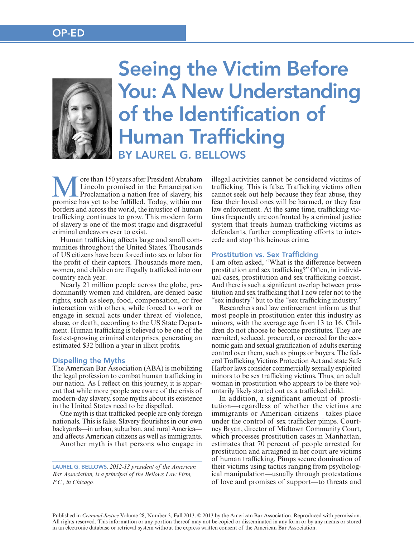# OP-ED



# BY LAUREL G. BELLOWS Seeing the Victim Before You: A New Understanding of the Identification of Human Trafficking

ore than 150 years after President Abraham Lincoln promised in the Emancipation Proclamation a nation free of slavery, his promise has yet to be fulfilled. Today, within our borders and across the world, the injustice of human trafficking continues to grow. This modern form of slavery is one of the most tragic and disgraceful criminal endeavors ever to exist.

Human trafficking affects large and small communities throughout the United States. Thousands of US citizens have been forced into sex or labor for the profit of their captors. Thousands more men, women, and children are illegally trafficked into our country each year.

Nearly 21 million people across the globe, predominantly women and children, are denied basic rights, such as sleep, food, compensation, or free interaction with others, while forced to work or engage in sexual acts under threat of violence, abuse, or death, according to the US State Department. Human trafficking is believed to be one of the fastest-growing criminal enterprises, generating an estimated \$32 billion a year in illicit profits.

## Dispelling the Myths

The American Bar Association (ABA) is mobilizing the legal profession to combat human trafficking in our nation. As I reflect on this journey, it is apparent that while more people are aware of the crisis of modern-day slavery, some myths about its existence in the United States need to be dispelled.

One myth is that trafficked people are only foreign nationals. This is false. Slavery flourishes in our own backyards—in urban, suburban, and rural America and affects American citizens as well as immigrants.

Another myth is that persons who engage in

LAUREL G. BELLOWS*, 2012-13 president of the American Bar Association, is a principal of the Bellows Law Firm, P.C., in Chicago.*

illegal activities cannot be considered victims of trafficking. This is false. Trafficking victims often cannot seek out help because they fear abuse, they fear their loved ones will be harmed, or they fear law enforcement. At the same time, trafficking victims frequently are confronted by a criminal justice system that treats human trafficking victims as defendants, further complicating efforts to intercede and stop this heinous crime.

### Prostitution vs. Sex Trafficking

I am often asked, "What is the difference between prostitution and sex trafficking?" Often, in individual cases, prostitution and sex trafficking coexist. And there is such a significant overlap between prostitution and sex trafficking that I now refer not to the "sex industry" but to the "sex trafficking industry."

Researchers and law enforcement inform us that most people in prostitution enter this industry as minors, with the average age from 13 to 16. Children do not choose to become prostitutes. They are recruited, seduced, procured, or coerced for the economic gain and sexual gratification of adults exerting control over them, such as pimps or buyers. The federal Trafficking Victims Protection Act and state Safe Harbor laws consider commercially sexually exploited minors to be sex trafficking victims. Thus, an adult woman in prostitution who appears to be there voluntarily likely started out as a trafficked child.

In addition, a significant amount of prostitution—regardless of whether the victims are immigrants or American citizens—takes place under the control of sex trafficker pimps. Courtney Bryan, director of Midtown Community Court, which processes prostitution cases in Manhattan, estimates that 70 percent of people arrested for prostitution and arraigned in her court are victims of human trafficking. Pimps secure domination of their victims using tactics ranging from psychological manipulation—usually through protestations of love and promises of support—to threats and

Published in *Criminal Justice* Volume 28, Number 3, Fall 2013. © 2013 by the American Bar Association. Reproduced with permission. All rights reserved. This information or any portion thereof may not be copied or disseminated in any form or by any means or stored in an electronic database or retrieval system without the express written consent of the American Bar Association.